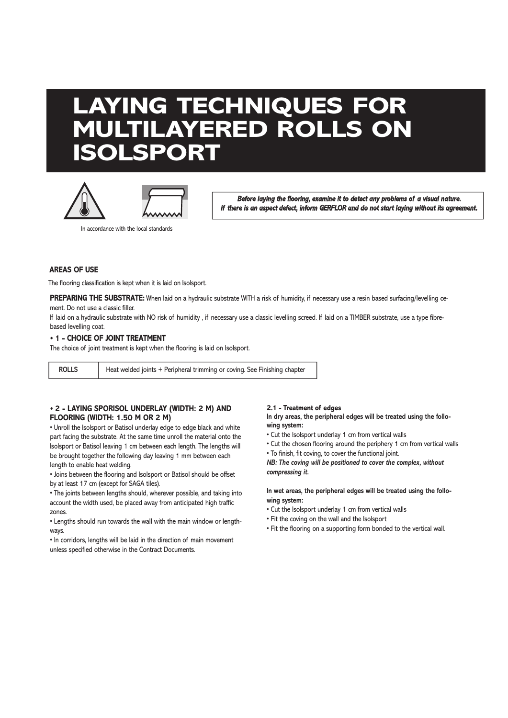# **LAYING TECHNIQUES FOR MULTILAYERED ROLLS ON ISOLSPORT**





*Before laying the flooring, examine it to detect any problems of a visual nature. If there is an aspect defect, inform GERFLOR and do not start laying without its agreement.*

# **AREAS OF USE**

The flooring classification is kept when it is laid on Isolsport.

In accordance with the local standards

PREPARING THE SUBSTRATE: When laid on a hydraulic substrate WITH a risk of humidity, if necessary use a resin based surfacing/levelling cement. Do not use a classic filler.

If laid on a hydraulic substrate with NO risk of humidity, if necessary use a classic levelling screed. If laid on a TIMBER substrate, use a type fibrebased levelling coat.

#### **• 1 - CHOICE OF JOINT TREATMENT**

The choice of joint treatment is kept when the flooring is laid on Isolsport.

**ROLLS** Heat welded joints + Peripheral trimming or coving. See Finishing chapter

# **• 2 - LAYING SPORISOL UNDERLAY (WIDTH: 2 M) AND FLOORING (WIDTH: 1.50 M OR 2 M)**

• Unroll the Isolsport or Batisol underlay edge to edge black and white part facing the substrate. At the same time unroll the material onto the Isolsport or Batisol leaving 1 cm between each length. The lengths will be brought together the following day leaving 1 mm between each length to enable heat welding.

• Joins between the flooring and Isolsport or Batisol should be offset by at least 17 cm (except for SAGA tiles).

• The joints between lengths should, wherever possible, and taking into account the width used, be placed away from anticipated high traffic zones.

• Lengths should run towards the wall with the main window or lengthways.

• In corridors, lengths will be laid in the direction of main movement unless specified otherwise in the Contract Documents.

#### **2.1 - Treatment of edges**

**In dry areas, the peripheral edges will be treated using the following system:**

- Cut the Isolsport underlay 1 cm from vertical walls
- Cut the chosen flooring around the periphery 1 cm from vertical walls
- To finish, fit coving, to cover the functional joint.

*NB: The coving will be positioned to cover the complex, without compressing it.*

### **In wet areas, the peripheral edges will be treated using the following system:**

- Cut the Isolsport underlay 1 cm from vertical walls
- Fit the coving on the wall and the Isolsport
- Fit the flooring on a supporting form bonded to the vertical wall.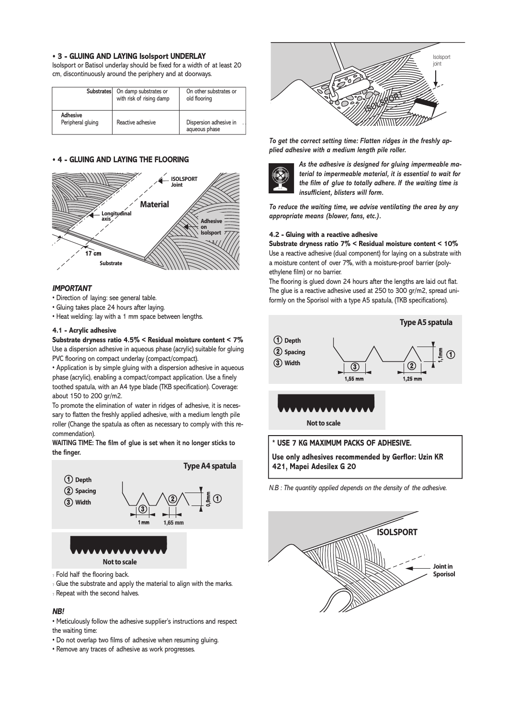#### **• 3 - GLUING AND LAYING Isolsport UNDERLAY**

Isolsport or Batisol underlay should be fixed for a width of at least 20 cm, discontinuously around the periphery and at doorways.

|                                      | Substrates On damp substrates or<br>with risk of rising damp | On other substrates or<br>old flooring  |
|--------------------------------------|--------------------------------------------------------------|-----------------------------------------|
| <b>Adhesive</b><br>Peripheral gluing | Reactive adhesive                                            | Dispersion adhesive in<br>aqueous phase |

#### **• 4 - GLUING AND LAYING THE FLOORING**



#### *IMPORTANT*

- Direction of laying: see general table.
- Gluing takes place 24 hours after laying.
- Heat welding: lay with a 1 mm space between lengths.

#### **4.1 - Acrylic adhesive**

**Substrate dryness ratio 4.5% < Residual moisture content < 7%**  Use a dispersion adhesive in aqueous phase (acrylic) suitable for gluing PVC flooring on compact underlay (compact/compact).

• Application is by simple gluing with a dispersion adhesive in aqueous phase (acrylic), enabling a compact/compact application. Use a finely toothed spatula, with an A4 type blade (TKB specification). Coverage: about 150 to 200 gr/m2. **Depth**

To promote the elimination of water in ridges of adhesive, it is necessary to flatten the freshly applied adhesive, with a medium length pile roller (Change the spatula as often as necessary to comply with this recommendation).

#### **WAITING TIME: The film of glue is set when it no longer sticks to the finger.**



- ? Fold half the flooring back.
- ? Glue the substrate and apply the material to align with the marks.
- ? Repeat with the second halves.

#### *NB!*

• Meticulously follow the adhesive supplier's instructions and respect the waiting time:

- Do not overlap two films of adhesive when resuming gluing.
- Remove any traces of adhesive as work progresses.



To get the correct setting time: Flatten ridges in the freshly ap*plied adhesive with a medium length pile roller.*



*As the adhesive is designed for gluing impermeable material to impermeable material, it is essential to wait for the film of glue to totally adhere. If the waiting time is insufficient, blisters will form.*

*To reduce the waiting time, we advise ventilating the area by any appropriate means (blower, fans, etc.).*

#### **4.2 - Gluing with a reactive adhesive**

**Substrate dryness ratio 7% < Residual moisture content < 10%** Use a reactive adhesive (dual component) for laying on a substrate with a moisture content of over 7%, with a moisture-proof barrier (polyethylene film) or no barrier.

The flooring is glued down 24 hours after the lengths are laid out flat. The glue is a reactive adhesive used at 250 to 300 gr/m2, spread uniformly on the Sporisol with a type A5 spatula, (TKB specifications).



**Use only adhesives recommended by Gerflor: Uzin KR 421, Mapei Adesilex G 20**

*N.B : The quantity applied depends on the density of the adhesive.*